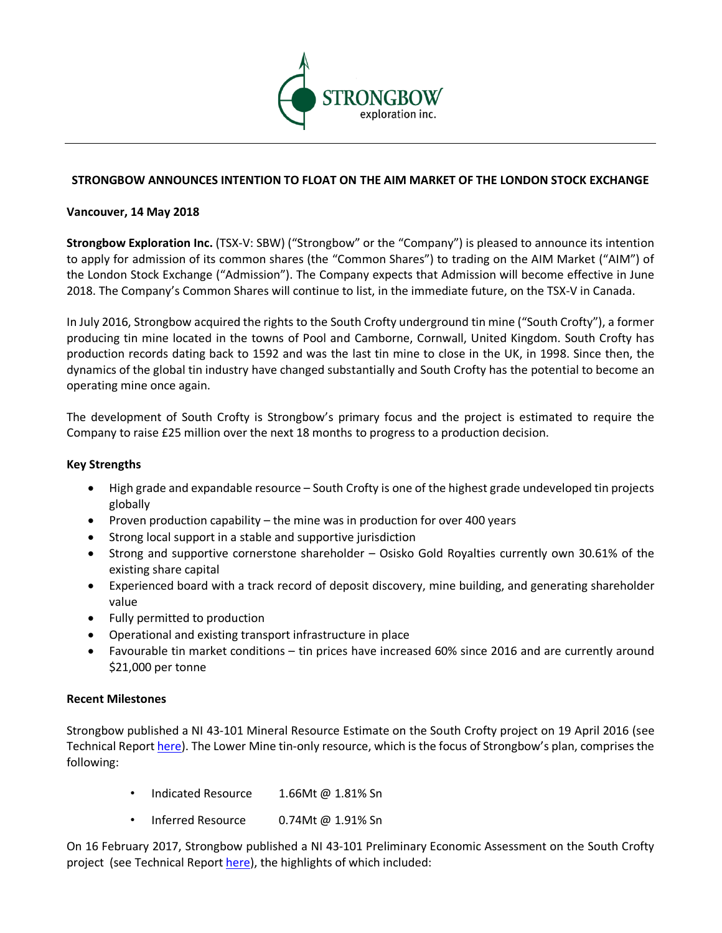

## **STRONGBOW ANNOUNCES INTENTION TO FLOAT ON THE AIM MARKET OF THE LONDON STOCK EXCHANGE**

### **Vancouver, 14 May 2018**

**Strongbow Exploration Inc.** (TSX-V: SBW) ("Strongbow" or the "Company") is pleased to announce its intention to apply for admission of its common shares (the "Common Shares") to trading on the AIM Market ("AIM") of the London Stock Exchange ("Admission"). The Company expects that Admission will become effective in June 2018. The Company's Common Shares will continue to list, in the immediate future, on the TSX-V in Canada.

In July 2016, Strongbow acquired the rights to the South Crofty underground tin mine ("South Crofty"), a former producing tin mine located in the towns of Pool and Camborne, Cornwall, United Kingdom. South Crofty has production records dating back to 1592 and was the last tin mine to close in the UK, in 1998. Since then, the dynamics of the global tin industry have changed substantially and South Crofty has the potential to become an operating mine once again.

The development of South Crofty is Strongbow's primary focus and the project is estimated to require the Company to raise £25 million over the next 18 months to progress to a production decision.

### **Key Strengths**

- High grade and expandable resource South Crofty is one of the highest grade undeveloped tin projects globally
- Proven production capability the mine was in production for over 400 years
- Strong local support in a stable and supportive jurisdiction
- Strong and supportive cornerstone shareholder Osisko Gold Royalties currently own 30.61% of the existing share capital
- Experienced board with a track record of deposit discovery, mine building, and generating shareholder value
- Fully permitted to production
- Operational and existing transport infrastructure in place
- Favourable tin market conditions tin prices have increased 60% since 2016 and are currently around \$21,000 per tonne

### **Recent Milestones**

Strongbow published a NI 43-101 Mineral Resource Estimate on the South Crofty project on 19 April 2016 (see Technical Report here). The Lower Mine tin-only resource, which is the focus of Strongbow's plan, comprises the following:

- Indicated Resource 1.66Mt @ 1.81% Sn
- Inferred Resource 0.74Mt @ 1.91% Sn

On 16 February 2017, Strongbow published a NI 43-101 Preliminary Economic Assessment on the South Crofty project (see Technical Report here), the highlights of which included: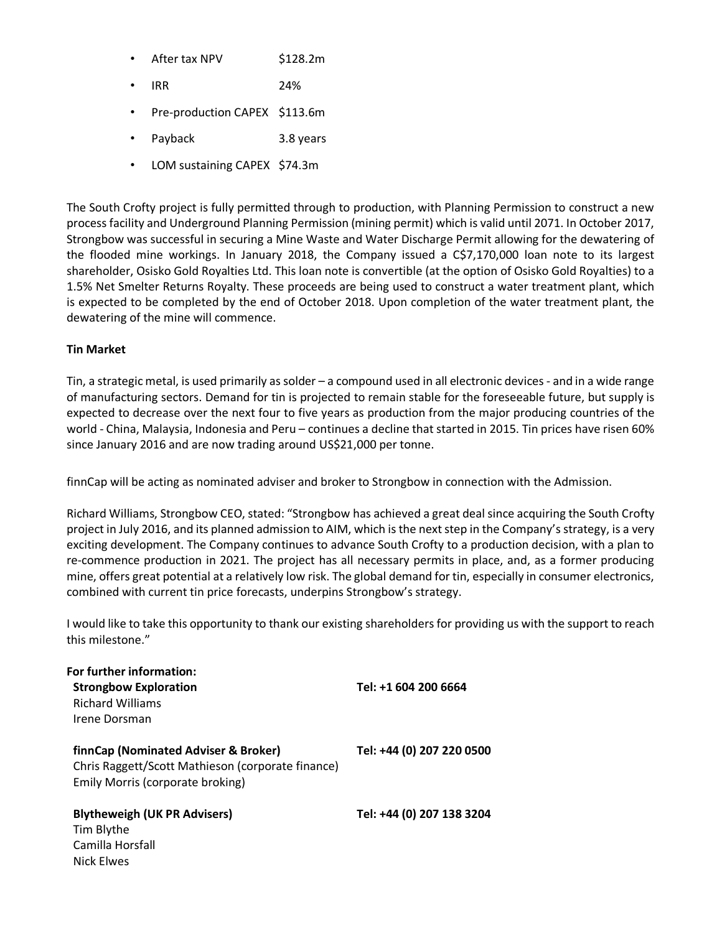|  | After tax NPV | \$128.2m |
|--|---------------|----------|
|--|---------------|----------|

- IRR 24%
- Pre-production CAPEX \$113.6m
- Payback 3.8 years
- LOM sustaining CAPEX \$74.3m

The South Crofty project is fully permitted through to production, with Planning Permission to construct a new process facility and Underground Planning Permission (mining permit) which is valid until 2071. In October 2017, Strongbow was successful in securing a Mine Waste and Water Discharge Permit allowing for the dewatering of the flooded mine workings. In January 2018, the Company issued a C\$7,170,000 loan note to its largest shareholder, Osisko Gold Royalties Ltd. This loan note is convertible (at the option of Osisko Gold Royalties) to a 1.5% Net Smelter Returns Royalty. These proceeds are being used to construct a water treatment plant, which is expected to be completed by the end of October 2018. Upon completion of the water treatment plant, the dewatering of the mine will commence.

# **Tin Market**

Nick Elwes

Tin, a strategic metal, is used primarily as solder – a compound used in all electronic devices - and in a wide range of manufacturing sectors. Demand for tin is projected to remain stable for the foreseeable future, but supply is expected to decrease over the next four to five years as production from the major producing countries of the world - China, Malaysia, Indonesia and Peru – continues a decline that started in 2015. Tin prices have risen 60% since January 2016 and are now trading around US\$21,000 per tonne.

finnCap will be acting as nominated adviser and broker to Strongbow in connection with the Admission.

Richard Williams, Strongbow CEO, stated: "Strongbow has achieved a great deal since acquiring the South Crofty project in July 2016, and its planned admission to AIM, which is the next step in the Company's strategy, is a very exciting development. The Company continues to advance South Crofty to a production decision, with a plan to re-commence production in 2021. The project has all necessary permits in place, and, as a former producing mine, offers great potential at a relatively low risk. The global demand for tin, especially in consumer electronics, combined with current tin price forecasts, underpins Strongbow's strategy.

I would like to take this opportunity to thank our existing shareholders for providing us with the support to reach this milestone."

| For further information:                          |                           |
|---------------------------------------------------|---------------------------|
| <b>Strongbow Exploration</b>                      | Tel: +1 604 200 6664      |
| <b>Richard Williams</b>                           |                           |
| Irene Dorsman                                     |                           |
|                                                   |                           |
| finnCap (Nominated Adviser & Broker)              | Tel: +44 (0) 207 220 0500 |
| Chris Raggett/Scott Mathieson (corporate finance) |                           |
| Emily Morris (corporate broking)                  |                           |
|                                                   |                           |
| <b>Blytheweigh (UK PR Advisers)</b>               | Tel: +44 (0) 207 138 3204 |
| Tim Blythe                                        |                           |
| Camilla Horsfall                                  |                           |